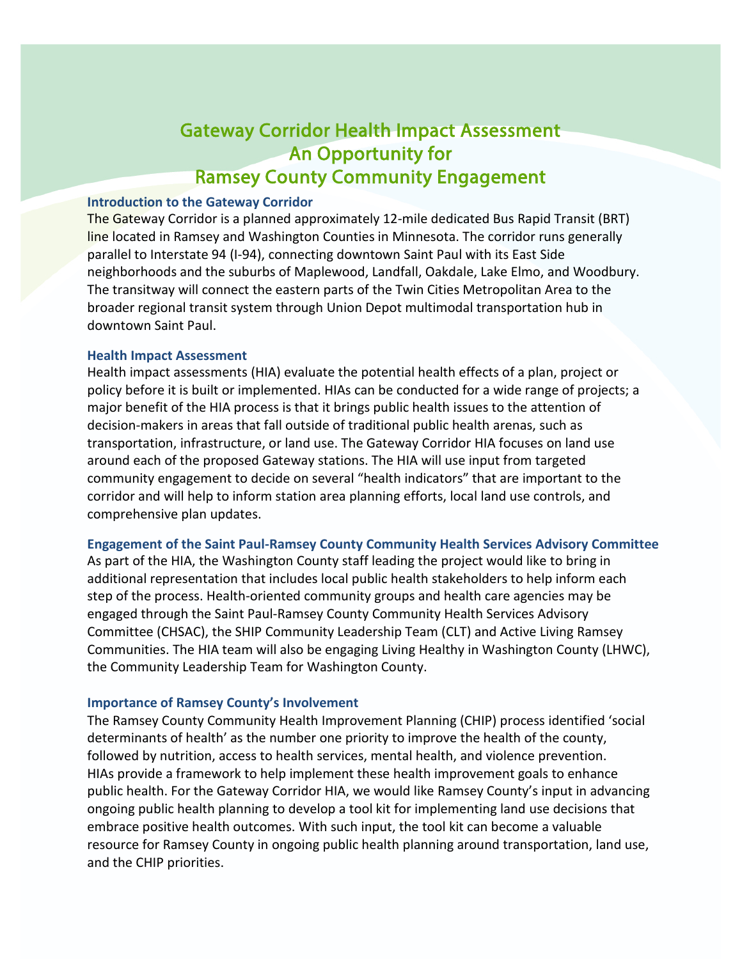# Gateway Corridor Health Impact Assessment An Opportunity for Ramsey County Community Engagement

# **Introduction to the Gateway Corridor**

The Gateway Corridor is a planned approximately 12-mile dedicated Bus Rapid Transit (BRT) line located in Ramsey and Washington Counties in Minnesota. The corridor runs generally parallel to Interstate 94 (I-94), connecting downtown Saint Paul with its East Side neighborhoods and the suburbs of Maplewood, Landfall, Oakdale, Lake Elmo, and Woodbury. The transitway will connect the eastern parts of the Twin Cities Metropolitan Area to the broader regional transit system through Union Depot multimodal transportation hub in downtown Saint Paul.

# **Health Impact Assessment**

Health impact assessments (HIA) evaluate the potential health effects of a plan, project or policy before it is built or implemented. HIAs can be conducted for a wide range of projects; a major benefit of the HIA process is that it brings public health issues to the attention of decision-makers in areas that fall outside of traditional public health arenas, such as transportation, infrastructure, or land use. The Gateway Corridor HIA focuses on land use around each of the proposed Gateway stations. The HIA will use input from targeted community engagement to decide on several "health indicators" that are important to the corridor and will help to inform station area planning efforts, local land use controls, and comprehensive plan updates.

# **Engagement of the Saint Paul-Ramsey County Community Health Services Advisory Committee**

As part of the HIA, the Washington County staff leading the project would like to bring in additional representation that includes local public health stakeholders to help inform each step of the process. Health-oriented community groups and health care agencies may be engaged through the Saint Paul-Ramsey County Community Health Services Advisory Committee (CHSAC), the SHIP Community Leadership Team (CLT) and Active Living Ramsey Communities. The HIA team will also be engaging Living Healthy in Washington County (LHWC), the Community Leadership Team for Washington County.

# **Importance of Ramsey County's Involvement**

The Ramsey County Community Health Improvement Planning (CHIP) process identified 'social determinants of health' as the number one priority to improve the health of the county, followed by nutrition, access to health services, mental health, and violence prevention. HIAs provide a framework to help implement these health improvement goals to enhance public health. For the Gateway Corridor HIA, we would like Ramsey County's input in advancing ongoing public health planning to develop a tool kit for implementing land use decisions that embrace positive health outcomes. With such input, the tool kit can become a valuable resource for Ramsey County in ongoing public health planning around transportation, land use, and the CHIP priorities.